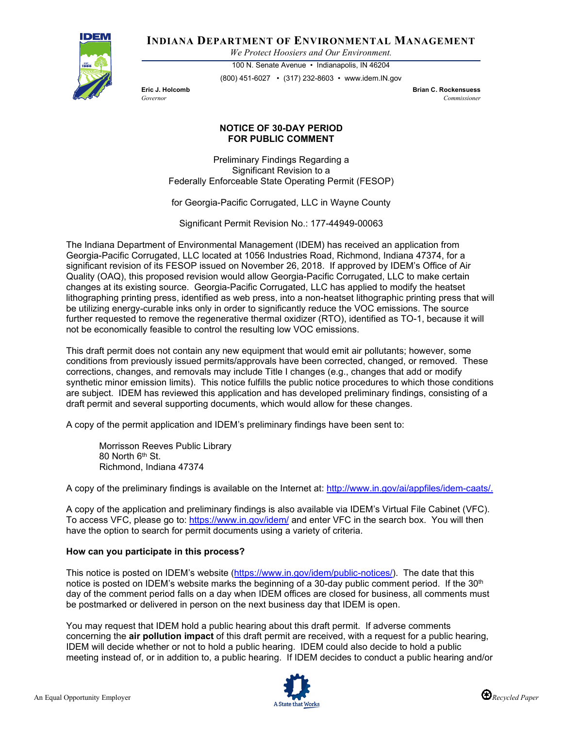

**INDIANA DEPARTMENT OF ENVIRONMENTAL MANAGEMENT**

*We Protect Hoosiers and Our Environment.*

100 N. Senate Avenue • Indianapolis, IN 46204 (800) 451-6027 • (317) 232-8603 • www.idem.IN.gov

**Eric J. Holcomb Brian C. Rockensuess** *Governor Commissioner* 

## **NOTICE OF 30-DAY PERIOD FOR PUBLIC COMMENT**

Preliminary Findings Regarding a Significant Revision to a Federally Enforceable State Operating Permit (FESOP)

for Georgia-Pacific Corrugated, LLC in Wayne County

Significant Permit Revision No.: 177-44949-00063

The Indiana Department of Environmental Management (IDEM) has received an application from Georgia-Pacific Corrugated, LLC located at 1056 Industries Road, Richmond, Indiana 47374, for a significant revision of its FESOP issued on November 26, 2018. If approved by IDEM's Office of Air Quality (OAQ), this proposed revision would allow Georgia-Pacific Corrugated, LLC to make certain changes at its existing source. Georgia-Pacific Corrugated, LLC has applied to modify the heatset lithographing printing press, identified as web press, into a non-heatset lithographic printing press that will be utilizing energy-curable inks only in order to significantly reduce the VOC emissions. The source further requested to remove the regenerative thermal oxidizer (RTO), identified as TO-1, because it will not be economically feasible to control the resulting low VOC emissions.

This draft permit does not contain any new equipment that would emit air pollutants; however, some conditions from previously issued permits/approvals have been corrected, changed, or removed. These corrections, changes, and removals may include Title I changes (e.g., changes that add or modify synthetic minor emission limits). This notice fulfills the public notice procedures to which those conditions are subject. IDEM has reviewed this application and has developed preliminary findings, consisting of a draft permit and several supporting documents, which would allow for these changes.

A copy of the permit application and IDEM's preliminary findings have been sent to:

Morrisson Reeves Public Library 80 North 6th St. Richmond, Indiana 47374

A copy of the preliminary findings is available on the Internet at: [http://www.in.gov/ai/appfiles/idem-caats/.](http://www.in.gov/ai/appfiles/idem-caats/)

A copy of the application and preliminary findings is also available via IDEM's Virtual File Cabinet (VFC). To access VFC, please go to:<https://www.in.gov/idem/> and enter VFC in the search box. You will then have the option to search for permit documents using a variety of criteria.

## **How can you participate in this process?**

This notice is posted on IDEM's website [\(https://www.in.gov/idem/public-notices/\)](https://www.in.gov/idem/public-notices/). The date that this notice is posted on IDEM's website marks the beginning of a 30-day public comment period. If the 30<sup>th</sup> day of the comment period falls on a day when IDEM offices are closed for business, all comments must be postmarked or delivered in person on the next business day that IDEM is open.

You may request that IDEM hold a public hearing about this draft permit. If adverse comments concerning the **air pollution impact** of this draft permit are received, with a request for a public hearing, IDEM will decide whether or not to hold a public hearing. IDEM could also decide to hold a public meeting instead of, or in addition to, a public hearing. If IDEM decides to conduct a public hearing and/or